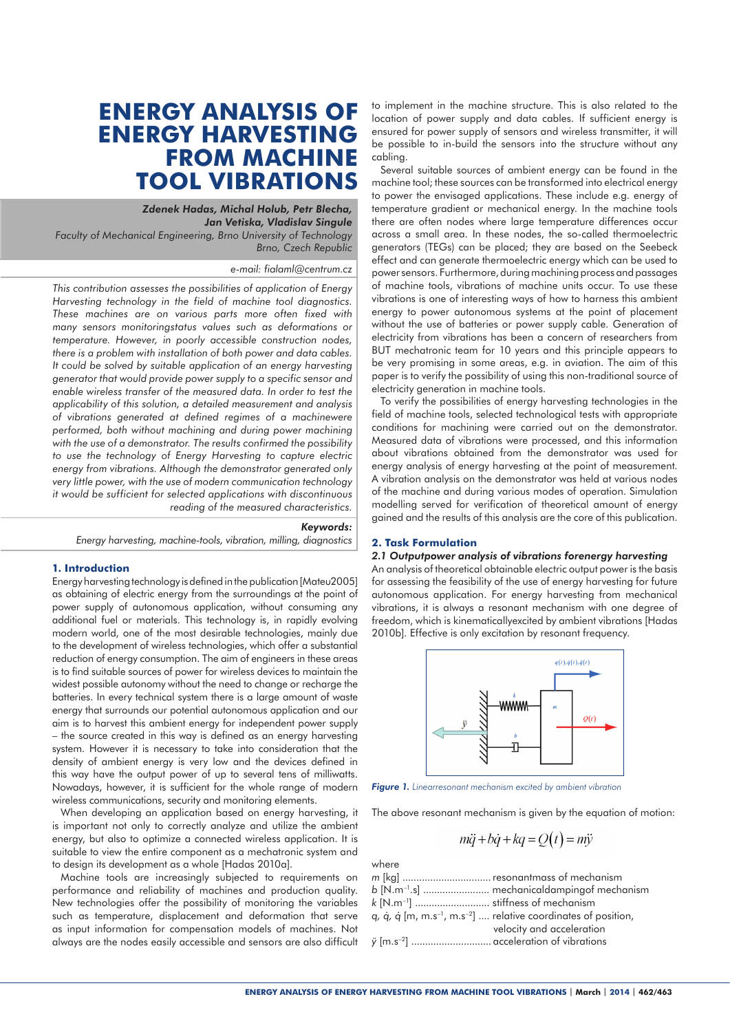# **ENERGY ANALYSIS OF ENERGY HARVESTING FROM MACHINE TOOL VIBRATIONS**

# *Zdenek Hadas, Michal Holub, Petr Blecha, Jan Vetiska, Vladislav Singule*

*Faculty of Mechanical Engineering, Brno University of Technology Brno, Czech Republic*

## *e-mail: fialaml@centrum.cz*

*This contribution assesses the possibilities of application of Energy Harvesting technology in the field of machine tool diagnostics. These machines are on various parts more often fixed with many sensors monitoringstatus values such as deformations or temperature. However, in poorly accessible construction nodes, there is a problem with installation of both power and data cables. It could be solved by suitable application of an energy harvesting generator that would provide power supply to a specific sensor and enable wireless transfer of the measured data. In order to test the applicability of this solution, a detailed measurement and analysis of vibrations generated at defined regimes of a machinewere performed, both without machining and during power machining with the use of a demonstrator. The results confirmed the possibility to use the technology of Energy Harvesting to capture electric energy from vibrations. Although the demonstrator generated only very little power, with the use of modern communication technology it would be sufficient for selected applications with discontinuous reading of the measured characteristics.*

#### *Keywords:*

*Energy harvesting, machine-tools, vibration, milling, diagnostics*

## **1. Introduction**

Energy harvesting technology is defined in the publication [Mateu2005] as obtaining of electric energy from the surroundings at the point of power supply of autonomous application, without consuming any additional fuel or materials. This technology is, in rapidly evolving modern world, one of the most desirable technologies, mainly due to the development of wireless technologies, which offer a substantial reduction of energy consumption. The aim of engineers in these areas is to find suitable sources of power for wireless devices to maintain the widest possible autonomy without the need to change or recharge the batteries. In every technical system there is a large amount of waste energy that surrounds our potential autonomous application and our aim is to harvest this ambient energy for independent power supply – the source created in this way is defined as an energy harvesting system. However it is necessary to take into consideration that the density of ambient energy is very low and the devices defined in this way have the output power of up to several tens of milliwatts. Nowadays, however, it is sufficient for the whole range of modern wireless communications, security and monitoring elements.

When developing an application based on energy harvesting, it is important not only to correctly analyze and utilize the ambient energy, but also to optimize a connected wireless application. It is suitable to view the entire component as a mechatronic system and to design its development as a whole [Hadas 2010a].

Machine tools are increasingly subjected to requirements on performance and reliability of machines and production quality. New technologies offer the possibility of monitoring the variables such as temperature, displacement and deformation that serve as input information for compensation models of machines. Not always are the nodes easily accessible and sensors are also difficult

to implement in the machine structure. This is also related to the location of power supply and data cables. If sufficient energy is ensured for power supply of sensors and wireless transmitter, it will be possible to in-build the sensors into the structure without any cabling.

Several suitable sources of ambient energy can be found in the machine tool; these sources can be transformed into electrical energy to power the envisaged applications. These include e.g. energy of temperature gradient or mechanical energy. In the machine tools there are often nodes where large temperature differences occur across a small area. In these nodes, the so-called thermoelectric generators (TEGs) can be placed; they are based on the Seebeck effect and can generate thermoelectric energy which can be used to power sensors. Furthermore, during machining process and passages of machine tools, vibrations of machine units occur. To use these vibrations is one of interesting ways of how to harness this ambient energy to power autonomous systems at the point of placement without the use of batteries or power supply cable. Generation of electricity from vibrations has been a concern of researchers from BUT mechatronic team for 10 years and this principle appears to be very promising in some areas, e.g. in aviation. The aim of this paper is to verify the possibility of using this non-traditional source of electricity generation in machine tools.

To verify the possibilities of energy harvesting technologies in the field of machine tools, selected technological tests with appropriate conditions for machining were carried out on the demonstrator. Measured data of vibrations were processed, and this information about vibrations obtained from the demonstrator was used for energy analysis of energy harvesting at the point of measurement. A vibration analysis on the demonstrator was held at various nodes of the machine and during various modes of operation. Simulation modelling served for verification of theoretical amount of energy gained and the results of this analysis are the core of this publication.

# **2. Task Formulation**

*2.1 Outputpower analysis of vibrations forenergy harvesting* An analysis of theoretical obtainable electric output power is the basis for assessing the feasibility of the use of energy harvesting for future autonomous application. For energy harvesting from mechanical vibrations, it is always a resonant mechanism with one degree of freedom, which is kinematicallyexcited by ambient vibrations [Hadas 2010b]. Effective is only excitation by resonant frequency.



*Figure 1. Linearresonant mechanism excited by ambient vibration*

The above resonant mechanism is given by the equation of motion:

$$
m\ddot{q} + b\dot{q} + kq = Q(t) = m\ddot{y}
$$

where *m* [kg] ................................ resonantmass of mechanism *b* [N.m–1.s] ........................ mechanicaldampingof mechanism *k* [N.m–1] ........................... stiffness of mechanism *q, q, q* [m, m.s<sup>-1</sup>, m.s<sup>-2</sup>] .... relative coordinates of position, velocity and acceleration *ÿ* [m.s–2] ............................. acceleration of vibrations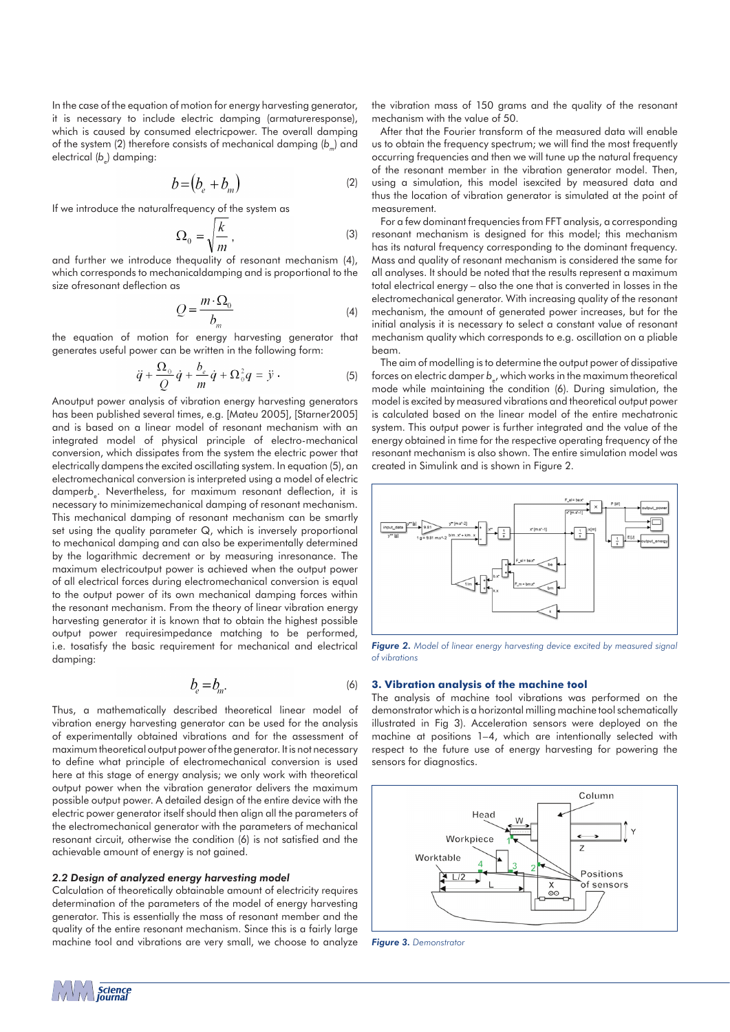In the case of the equation of motion for energy harvesting generator, it is necessary to include electric damping (armatureresponse), which is caused by consumed electricpower. The overall damping of the system (2) therefore consists of mechanical damping (*b<sub>m</sub>*) and electrical (b<sub>e</sub>) damping:

$$
b = (b_e + b_m) \tag{2}
$$

If we introduce the naturalfrequency of the system as

$$
\Omega_0 = \sqrt{\frac{k}{m}} \,,\tag{3}
$$

and further we introduce thequality of resonant mechanism (4), which corresponds to mechanicaldamping and is proportional to the size ofresonant deflection as

$$
Q = \frac{m \cdot \Omega_0}{b_m} \tag{4}
$$

the equation of motion for energy harvesting generator that generates useful power can be written in the following form:

$$
\ddot{q} + \frac{\Omega_{\scriptscriptstyle{0}}}{Q}\dot{q} + \frac{b_{\scriptscriptstyle{e}}}{m}\dot{q} + \Omega_{\scriptscriptstyle{0}}^2 q = \ddot{y} \,. \tag{5}
$$

Anoutput power analysis of vibration energy harvesting generators has been published several times, e.g. [Mateu 2005], [Starner2005] and is based on a linear model of resonant mechanism with an integrated model of physical principle of electro-mechanical conversion, which dissipates from the system the electric power that electrically dampens the excited oscillating system. In equation (5), an electromechanical conversion is interpreted using a model of electric damper*be* . Nevertheless, for maximum resonant deflection, it is necessary to minimizemechanical damping of resonant mechanism. This mechanical damping of resonant mechanism can be smartly set using the quality parameter Q, which is inversely proportional to mechanical damping and can also be experimentally determined by the logarithmic decrement or by measuring inresonance. The maximum electricoutput power is achieved when the output power of all electrical forces during electromechanical conversion is equal to the output power of its own mechanical damping forces within the resonant mechanism. From the theory of linear vibration energy harvesting generator it is known that to obtain the highest possible output power requiresimpedance matching to be performed, i.e. tosatisfy the basic requirement for mechanical and electrical damping:

$$
b_e = b_m. \tag{6}
$$

Thus, a mathematically described theoretical linear model of vibration energy harvesting generator can be used for the analysis of experimentally obtained vibrations and for the assessment of maximum theoretical output power of the generator. It is not necessary to define what principle of electromechanical conversion is used here at this stage of energy analysis; we only work with theoretical output power when the vibration generator delivers the maximum possible output power. A detailed design of the entire device with the electric power generator itself should then align all the parameters of the electromechanical generator with the parameters of mechanical resonant circuit, otherwise the condition (6) is not satisfied and the achievable amount of energy is not gained.

# *2.2 Design of analyzed energy harvesting model*

Calculation of theoretically obtainable amount of electricity requires determination of the parameters of the model of energy harvesting generator. This is essentially the mass of resonant member and the quality of the entire resonant mechanism. Since this is a fairly large machine tool and vibrations are very small, we choose to analyze the vibration mass of 150 grams and the quality of the resonant mechanism with the value of 50.

After that the Fourier transform of the measured data will enable us to obtain the frequency spectrum; we will find the most frequently occurring frequencies and then we will tune up the natural frequency of the resonant member in the vibration generator model. Then, using a simulation, this model isexcited by measured data and thus the location of vibration generator is simulated at the point of measurement.

For a few dominant frequencies from FFT analysis, a corresponding resonant mechanism is designed for this model; this mechanism has its natural frequency corresponding to the dominant frequency. Mass and quality of resonant mechanism is considered the same for all analyses. It should be noted that the results represent a maximum total electrical energy – also the one that is converted in losses in the electromechanical generator. With increasing quality of the resonant mechanism, the amount of generated power increases, but for the initial analysis it is necessary to select a constant value of resonant mechanism quality which corresponds to e.g. oscillation on a pliable beam.

The aim of modelling is to determine the output power of dissipative forces on electric damper *be* , which works in the maximum theoretical mode while maintaining the condition (6). During simulation, the model is excited by measured vibrations and theoretical output power is calculated based on the linear model of the entire mechatronic system. This output power is further integrated and the value of the energy obtained in time for the respective operating frequency of the resonant mechanism is also shown. The entire simulation model was created in Simulink and is shown in Figure 2.



*Figure 2. Model of linear energy harvesting device excited by measured signal of vibrations*

# **3. Vibration analysis of the machine tool**

The analysis of machine tool vibrations was performed on the demonstrator which is a horizontal milling machine tool schematically illustrated in Fig 3). Acceleration sensors were deployed on the machine at positions 1–4, which are intentionally selected with respect to the future use of energy harvesting for powering the sensors for diagnostics.



*Figure 3. Demonstrator*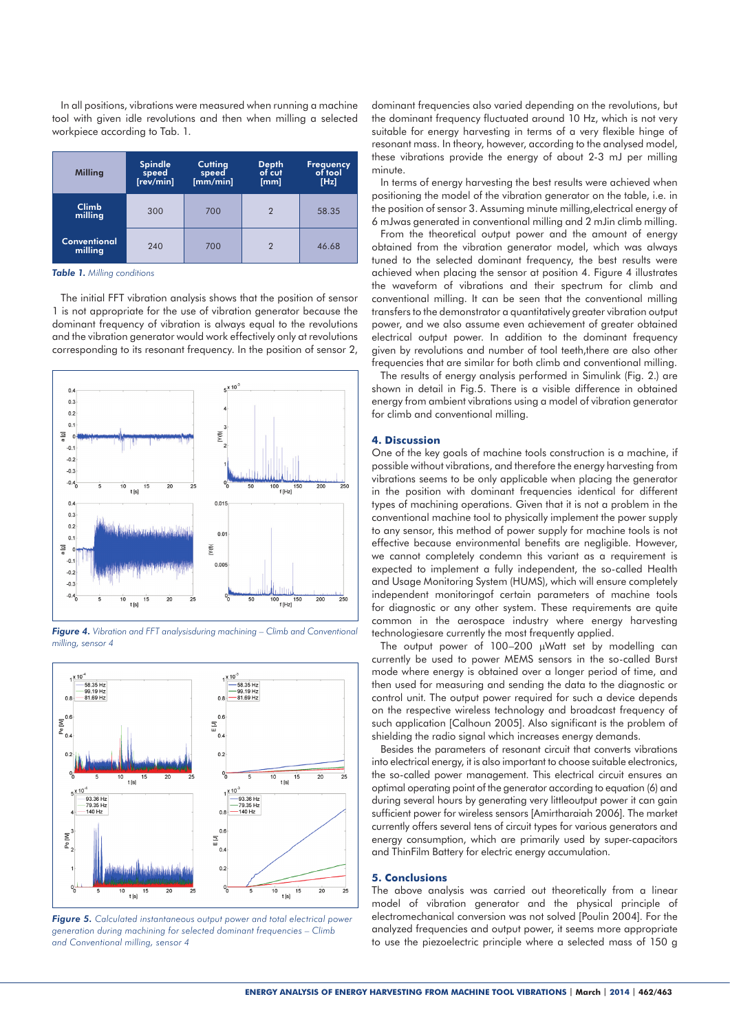In all positions, vibrations were measured when running a machine tool with given idle revolutions and then when milling a selected workpiece according to Tab. 1.

| <b>Milling</b>                 | <b>Spindle</b><br>speed<br>[rev/min] | <b>Cutting</b><br>speed<br>[mm/min] | <b>Depth</b><br>of cut<br>[mm] | <b>Frequency</b><br>of tool<br>[Hz] |
|--------------------------------|--------------------------------------|-------------------------------------|--------------------------------|-------------------------------------|
| Climb<br>milling               | 300                                  | 700                                 | $\overline{2}$                 | 58.35                               |
| <b>Conventional</b><br>milling | 240                                  | 700                                 | 2                              | 46.68                               |

*Table 1. Milling conditions*

The initial FFT vibration analysis shows that the position of sensor 1 is not appropriate for the use of vibration generator because the dominant frequency of vibration is always equal to the revolutions and the vibration generator would work effectively only at revolutions corresponding to its resonant frequency. In the position of sensor 2,



*Figure 4. Vibration and FFT analysisduring machining – Climb and Conventional milling, sensor 4*



*Figure 5. Calculated instantaneous output power and total electrical power generation during machining for selected dominant frequencies – Climb and Conventional milling, sensor 4*

dominant frequencies also varied depending on the revolutions, but the dominant frequency fluctuated around 10 Hz, which is not very suitable for energy harvesting in terms of a very flexible hinge of resonant mass. In theory, however, according to the analysed model, these vibrations provide the energy of about 2-3 mJ per milling minute.

In terms of energy harvesting the best results were achieved when positioning the model of the vibration generator on the table, i.e. in the position of sensor 3. Assuming minute milling,electrical energy of 6 mJwas generated in conventional milling and 2 mJin climb milling.

From the theoretical output power and the amount of energy obtained from the vibration generator model, which was always tuned to the selected dominant frequency, the best results were achieved when placing the sensor at position 4. Figure 4 illustrates the waveform of vibrations and their spectrum for climb and conventional milling. It can be seen that the conventional milling transfers to the demonstrator a quantitatively greater vibration output power, and we also assume even achievement of greater obtained electrical output power. In addition to the dominant frequency given by revolutions and number of tool teeth, there are also other frequencies that are similar for both climb and conventional milling.

The results of energy analysis performed in Simulink (Fig. 2.) are shown in detail in Fig.5. There is a visible difference in obtained energy from ambient vibrations using a model of vibration generator for climb and conventional milling.

## **4. Discussion**

One of the key goals of machine tools construction is a machine, if possible without vibrations, and therefore the energy harvesting from vibrations seems to be only applicable when placing the generator in the position with dominant frequencies identical for different types of machining operations. Given that it is not a problem in the conventional machine tool to physically implement the power supply to any sensor, this method of power supply for machine tools is not effective because environmental benefits are negligible. However, we cannot completely condemn this variant as a requirement is expected to implement a fully independent, the so-called Health and Usage Monitoring System (HUMS), which will ensure completely independent monitoringof certain parameters of machine tools for diagnostic or any other system. These requirements are quite common in the aerospace industry where energy harvesting technologiesare currently the most frequently applied.

The output power of 100–200 μWatt set by modelling can currently be used to power MEMS sensors in the so-called Burst mode where energy is obtained over a longer period of time, and then used for measuring and sending the data to the diagnostic or control unit. The output power required for such a device depends on the respective wireless technology and broadcast frequency of such application [Calhoun 2005]. Also significant is the problem of shielding the radio signal which increases energy demands.

Besides the parameters of resonant circuit that converts vibrations into electrical energy, it is also important to choose suitable electronics, the so-called power management. This electrical circuit ensures an optimal operating point of the generator according to equation (6) and during several hours by generating very littleoutput power it can gain sufficient power for wireless sensors [Amirtharaiah 2006]. The market currently offers several tens of circuit types for various generators and energy consumption, which are primarily used by super-capacitors and ThinFilm Battery for electric energy accumulation.

# **5. Conclusions**

The above analysis was carried out theoretically from a linear model of vibration generator and the physical principle of electromechanical conversion was not solved [Poulin 2004]. For the analyzed frequencies and output power, it seems more appropriate to use the piezoelectric principle where a selected mass of 150 g